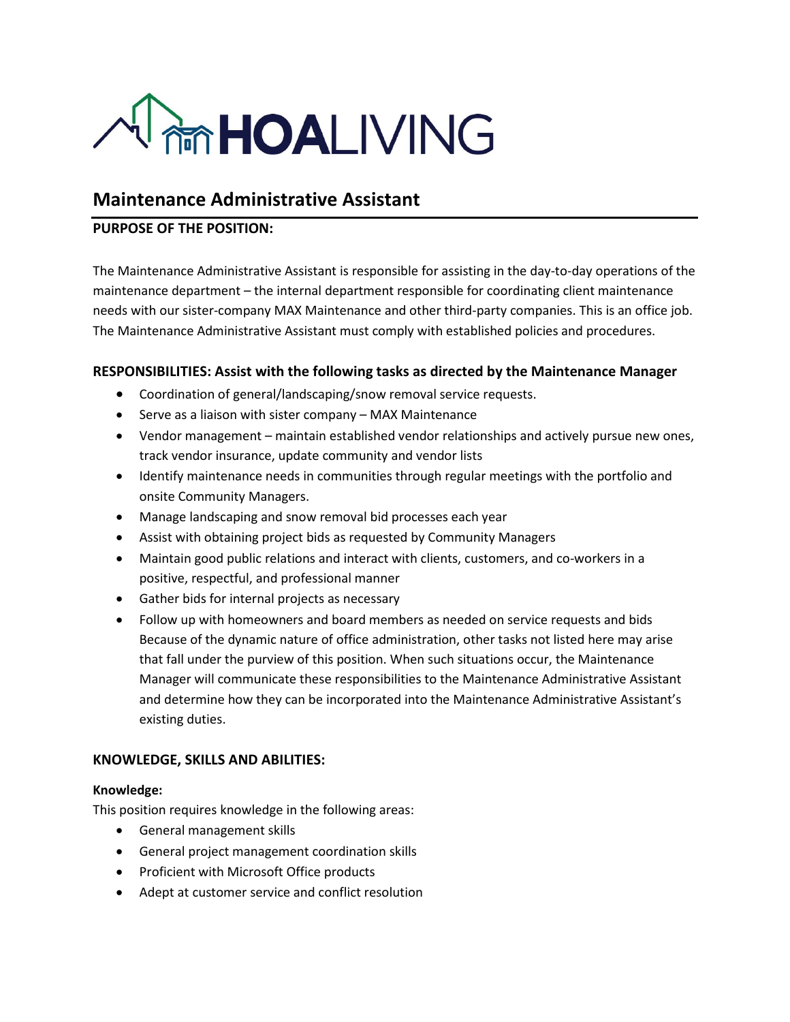

# **Maintenance Administrative Assistant**

## **PURPOSE OF THE POSITION:**

The Maintenance Administrative Assistant is responsible for assisting in the day-to-day operations of the maintenance department – the internal department responsible for coordinating client maintenance needs with our sister-company MAX Maintenance and other third-party companies. This is an office job. The Maintenance Administrative Assistant must comply with established policies and procedures.

# **RESPONSIBILITIES: Assist with the following tasks as directed by the Maintenance Manager**

- Coordination of general/landscaping/snow removal service requests.
- Serve as a liaison with sister company MAX Maintenance
- Vendor management maintain established vendor relationships and actively pursue new ones, track vendor insurance, update community and vendor lists
- Identify maintenance needs in communities through regular meetings with the portfolio and onsite Community Managers.
- Manage landscaping and snow removal bid processes each year
- Assist with obtaining project bids as requested by Community Managers
- Maintain good public relations and interact with clients, customers, and co-workers in a positive, respectful, and professional manner
- Gather bids for internal projects as necessary
- Follow up with homeowners and board members as needed on service requests and bids Because of the dynamic nature of office administration, other tasks not listed here may arise that fall under the purview of this position. When such situations occur, the Maintenance Manager will communicate these responsibilities to the Maintenance Administrative Assistant and determine how they can be incorporated into the Maintenance Administrative Assistant's existing duties.

#### **KNOWLEDGE, SKILLS AND ABILITIES:**

#### **Knowledge:**

This position requires knowledge in the following areas:

- General management skills
- General project management coordination skills
- Proficient with Microsoft Office products
- Adept at customer service and conflict resolution